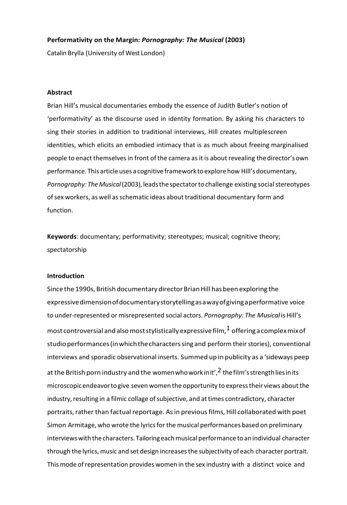## **Performativity on the Margin:** *Pornography: The Musical* **(2003)**

Catalin Brylla (University of West London)

## **Abstract**

Brian Hill's musical documentaries embody the essence of Judith Butler's notion of 'performativity' as the discourse used in identity formation. By asking his characters to sing their stories in addition to traditional interviews, Hill creates multiplescreen identities, which elicits an embodied intimacy that is as much about freeing marginalised people to enact themselvesin front of the camera asit is about revealing thedirector'sown performance. Thisarticleuses a cognitive framework toexplorehow Hill'sdocumentary, Pornography: The Musical (2003), leads the spectator to challenge existing social stereotypes ofsex workers, as well asschematic ideas about traditional documentary form and function.

**Keywords**: documentary; performativity; stereotypes; musical; cognitive theory; spectatorship

## **Introduction**

Since the 1990s, British documentary director Brian Hill has been exploring the expressivedimensionofdocumentarystorytellingasawayofgivingaperformative voice to under-represented or misrepresented social actors. *Pornography: The Musical* isHill's most controversial and also most stylistically expressive film,  $1$  offering a complex mix of studioperformances(inwhichthecharacterssingand perform theirstories), conventional interviews and sporadic observational inserts. Summed up in publicity as a 'sideways peep at the British porn industry and the women who work in it',  $2$  the film's strength lies in its microscopicendeavortogive seven women the opportunity to expresstheir views aboutthe industry, resulting in a filmic collage of subjective, and at times contradictory, character portraits, rather than factual reportage. As in previous films, Hill collaborated with poet Simon Armitage, who wrote the lyrics for the musical performances based on preliminary interviews with the characters. Tailoring each musical performance to an individual character through the lyrics, music and set design increasesthe subjectivity of each character portrait. Thismode ofrepresentation provides women in the sex industry with a distinct voice and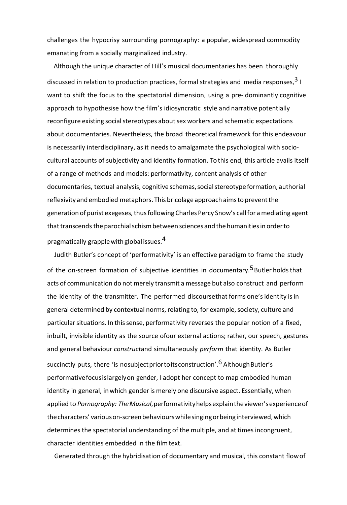challenges the hypocrisy surrounding pornography: a popular, widespread commodity emanating from a socially marginalized industry.

 Although the unique character of Hill's musical documentaries has been thoroughly discussed in relation to production practices, formal strategies and media responses.<sup>3</sup> I want to shift the focus to the spectatorial dimension, using a pre- dominantly cognitive approach to hypothesise how the film's idiosyncratic style and narrative potentially reconfigure existing social stereotypes about sex workers and schematic expectations about documentaries. Nevertheless, the broad theoretical framework for this endeavour is necessarily interdisciplinary, as it needs to amalgamate the psychological with sociocultural accounts of subjectivity and identity formation. To this end, this article avails itself of a range of methods and models: performativity, content analysis of other documentaries, textual analysis, cognitive schemas, social stereotype formation, authorial reflexivity and embodied metaphors. This bricolage approach aimsto preventthe generation of purist exegeses, thus following Charles Percy Snow's call for a mediating agent that transcends the parochial schism between sciences and the humanities in order to pragmatically grapple with global issues.<sup>4</sup>

Judith Butler's concept of 'performativity' is an effective paradigm to frame the study of the on-screen formation of subjective identities in documentary.<sup>5</sup>Butler holds that acts of communication do not merely transmit a message but also construct and perform the identity of the transmitter. The performed discoursethat forms one's identity is in general determined by contextual norms, relating to, for example, society, culture and particular situations. In this sense, performativity reverses the popular notion of a fixed, inbuilt, invisible identity as the source ofour external actions; rather, our speech, gestures and general behaviour *construct*and simultaneously *perform* that identity. As Butler succinctly puts, there 'is nosubject prior to its construction'.<sup>6</sup> Although Butler's performativefocusislargelyon gender, I adopt her concept to map embodied human identity in general, in which gender is merely one discursive aspect. Essentially, when applied to *Pornography: TheMusical*,performativityhelpsexplaintheviewer'sexperienceof thecharacters' variouson-screenbehaviourswhilesingingorbeinginterviewed,which determines the spectatorial understanding of the multiple, and at times incongruent, character identities embedded in the filmtext.

Generated through the hybridisation of documentary and musical, this constant flowof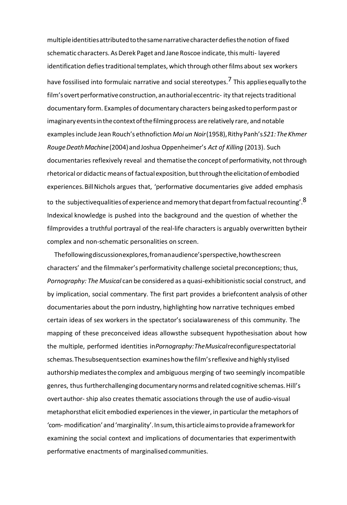multipleidentitiesattributedtothesamenarrativecharacterdefiesthenotion offixed schematic characters. As Derek Paget and Jane Roscoe indicate, this multi- layered identification defies traditional templates, which through other films about sex workers have fossilised into formulaic narrative and social stereotypes.<sup>7</sup> This applies equally to the film's overt performative construction, an authorial eccentric- ity that rejects traditional documentary form. Examples of documentary characters beingaskedtoperformpastor imaginaryeventsinthecontextofthefilmingprocess are relatively rare, and notable examplesinclude Jean Rouch's ethnofiction *Moi un Noir*(1958),RithyPanh's*S21:TheKhmer RougeDeathMachine*(2004)andJoshua Oppenheimer's *Act of Killing* (2013). Such documentaries reflexively reveal and thematise the concept of performativity, notthrough rhetorical or didacticmeans of factualexposition,butthroughtheelicitationofembodied experiences. Bill Nichols argues that, 'performative documentaries give added emphasis to the subjectivequalities of experience and memory that depart from factual recounting'.<sup>8</sup> Indexical knowledge is pushed into the background and the question of whether the filmprovides a truthful portrayal of the real-life characters is arguably overwritten bytheir complex and non-schematic personalities on screen.

Thefollowingdiscussionexplores,fromanaudience'sperspective,howthescreen characters' and the filmmaker's performativity challenge societal preconceptions; thus, *Pornography: The Musical* can be considered as a quasi-exhibitionistic social construct, and by implication, social commentary. The first part provides a briefcontent analysis of other documentaries about the porn industry, highlighting how narrative techniques embed certain ideas of sex workers in the spectator's socialawareness of this community. The mapping of these preconceived ideas allowsthe subsequent hypothesisation about how the multiple, performed identities in*Pornography:TheMusical*reconfigurespectatorial schemas. The subsequent section examines how the film's reflexive and highly stylised authorshipmediatesthecomplex and ambiguous merging of two seemingly incompatible genres, thus furtherchallenging documentary norms and related cognitive schemas. Hill's overt author- ship also creates thematic associations through the use of audio-visual metaphorsthat elicit embodied experiences in the viewer, in particular the metaphors of 'com- modification'and'marginality'.Insum,thisarticleaimstoprovideaframeworkfor examining the social context and implications of documentaries that experimentwith performative enactments of marginalised communities.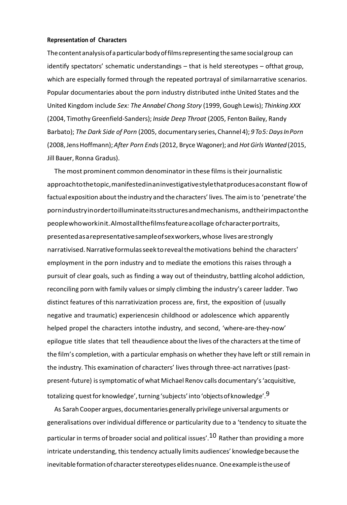#### **Representation of Characters**

Thecontentanalysisofaparticularbodyoffilmsrepresenting thesamesocial group can identify spectators' schematic understandings – that is held stereotypes – ofthat group, which are especially formed through the repeated portrayal of similarnarrative scenarios. Popular documentaries about the porn industry distributed inthe United States and the United Kingdom include *Sex: The Annabel Chong Story* (1999, Gough Lewis); *Thinking XXX* (2004, Timothy Greenfield-Sanders); *Inside Deep Throat* (2005, Fenton Bailey, Randy Barbato); *The Dark Side of Porn* (2005, documentary series, Channel4); *9 To5:DaysInPorn* (2008,JensHoffmann);*After Porn Ends*(2012, Bryce Wagoner); and *HotGirls Wanted* (2015, Jill Bauer, Ronna Gradus).

The most prominent common denominator in these films is their journalistic approachtothetopic,manifestedinaninvestigativestylethatproducesaconstant flowof factual exposition about the industry and the characters' lives. The aim is to 'penetrate' the pornindustryinordertoilluminateitsstructuresandmechanisms, andtheirimpactonthe peoplewhoworkinit.Almostallthefilmsfeatureacollage ofcharacterportraits, presentedasarepresentativesampleofsexworkers,whose livesarestrongly narrativised.Narrativeformulasseektorevealthemotivations behind the characters' employment in the porn industry and to mediate the emotions this raises through a pursuit of clear goals, such as finding a way out of theindustry, battling alcohol addiction, reconciling porn with family values orsimply climbing the industry's career ladder. Two distinct features of this narrativization process are, first, the exposition of (usually negative and traumatic) experiencesin childhood or adolescence which apparently helped propel the characters intothe industry, and second, 'where-are-they-now' epilogue title slates that tell theaudience about the lives ofthe characters atthe time of the film's completion, with a particular emphasis on whether they have left or still remain in the industry. This examination of characters' lives through three-act narratives (pastpresent-future) issymptomatic of what Michael Renov calls documentary's'acquisitive, totalizing quest for knowledge', turning 'subjects' into 'objects of knowledge'.<sup>9</sup>

As Sarah Cooper argues, documentaries generally privilege universal arguments or generalisations over individual difference or particularity due to a 'tendency to situate the particular in terms of broader social and political issues'.<sup>10</sup> Rather than providing a more intricate understanding, this tendency actually limits audiences' knowledge because the inevitable formation of character stereotypes elides nuance. One example is the use of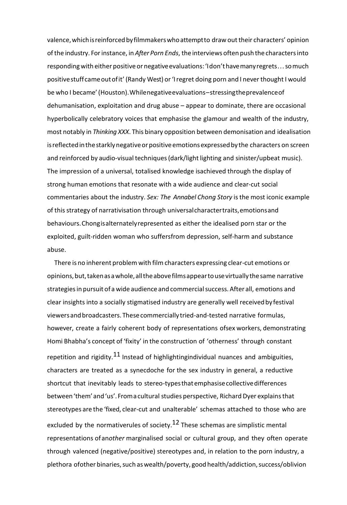valence, which is reinforced by filmmakers who attempt to draw out their characters' opinion ofthe industry. Forinstance, in *After Porn Ends*, the interviews often push the charactersinto respondingwith either positiveor negativeevaluations:'Idon'thavemanyregrets*...*somuch positivestuffcameoutofit' (Randy West) or'Iregret doing porn and I neverthought I would be who I became'(Houston).Whilenegativeevaluations–stressingtheprevalenceof dehumanisation, exploitation and drug abuse – appear to dominate, there are occasional hyperbolically celebratory voices that emphasise the glamour and wealth of the industry, most notably in *Thinking XXX*. This binary opposition between demonisation and idealisation is reflected in the starkly negative or positive emotions expressed by the characters on screen and reinforced by audio-visual techniques (dark/light lighting and sinister/upbeat music). The impression of a universal, totalised knowledge isachieved through the display of strong human emotions that resonate with a wide audience and clear-cut social commentaries about the industry. *Sex: The Annabel Chong Story* isthe most iconic example of thisstrategy of narrativisation through universalcharactertraits,emotionsand behaviours.Chongisalternatelyrepresented as either the idealised porn star or the exploited, guilt-ridden woman who suffersfrom depression, self-harm and substance abuse.

There is no inherent problem with filmcharacters expressing clear-cut emotions or opinions,but,takenasawhole,alltheabovefilmsappeartousevirtuallythesame narrative strategiesin pursuit of a wide audience and commercialsuccess. After all, emotions and clear insights into a socially stigmatised industry are generally well receivedbyfestival viewersandbroadcasters. Thesecommerciallytried-and-tested narrative formulas, however, create a fairly coherent body of representations ofsex workers, demonstrating Homi Bhabha's concept of 'fixity' in the construction of 'otherness' through constant repetition and rigidity.<sup>11</sup> Instead of highlightingindividual nuances and ambiguities, characters are treated as a synecdoche for the sex industry in general, a reductive shortcut that inevitably leads to stereo-typesthatemphasisecollectivedifferences between'them'and'us'.Fromacultural studies perspective, Richard Dyer explainsthat stereotypes are the 'fixed, clear-cut and unalterable' schemas attached to those who are excluded by the normativerules of society.<sup>12</sup> These schemas are simplistic mental representations ofan*other* marginalised social or cultural group, and they often operate through valenced (negative/positive) stereotypes and, in relation to the porn industry, a plethora ofother binaries, such as wealth/poverty, good health/addiction, success/oblivion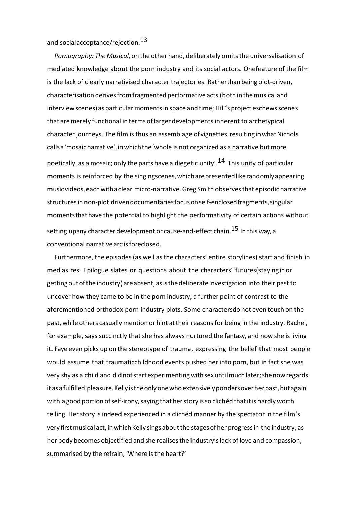and social acceptance/rejection.<sup>13</sup>

*Pornography: The Musical*, on the other hand, deliberately omitsthe universalisation of mediated knowledge about the porn industry and its social actors. Onefeature of the film is the lack of clearly narrativised character trajectories. Ratherthan being plot-driven, characterisation derivesfromfragmented performative acts (both in themusical and interview scenes) as particular moments in space and time; Hill's project eschews scenes that aremerely functional in terms oflarger developments inherent to archetypical character journeys. The film is thus an assemblage ofvignettes,resultinginwhatNichols calls a 'mosaic narrative', in which the 'whole is not organized as a narrative but more poetically, as a mosaic; only the parts have a diegetic unity'.<sup>14</sup> This unity of particular moments is reinforced by the singingscenes,whicharepresentedlikerandomlyappearing musicvideos,eachwithaclear micro-narrative. Greg Smith observesthat episodic narrative structures in non-plot drivendocumentaries focus on self-enclosed fragments, singular momentsthathave the potential to highlight the performativity of certain actions without setting upany character development or cause-and-effect chain.<sup>15</sup> In this way, a conventional narrative arc isforeclosed.

Furthermore, the episodes(as well as the characters' entire storylines) start and finish in medias res. Epilogue slates or questions about the characters' futures(stayinginor getting out of the industry) are absent, as is the deliberate investigation into their past to uncover how they came to be in the porn industry, a further point of contrast to the aforementioned orthodox porn industry plots. Some charactersdo not even touch on the past, while others casually mention or hint at their reasons for being in the industry. Rachel, for example, says succinctly that she has always nurtured the fantasy, and now she isliving it. Faye even picks up on the stereotype of trauma, expressing the belief that most people would assume that traumaticchildhood events pushed her into porn, but in fact she was very shy as a child and didnotstartexperimentingwithsexuntilmuchlater;shenowregards it as a fulfilled pleasure. Kelly is the only one who extensively ponders over her past, but again with a good portion of self-irony, saying that her story is so clichéd that it is hardly worth telling. Her story is indeed experienced in a clichéd manner by the spectator in the film's very first musical act, in which Kelly sings about the stages of her progress in the industry, as her body becomes objectified and she realisesthe industry'slack of love and compassion, summarised by the refrain, 'Where is the heart?'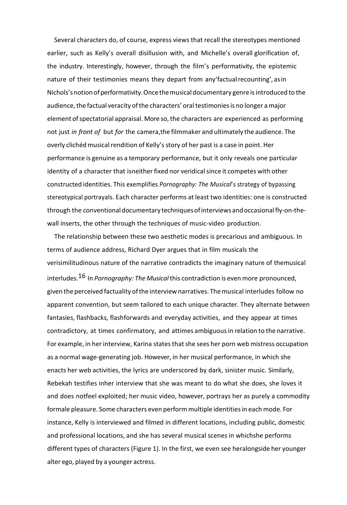Several characters do, of course, express views that recall the stereotypes mentioned earlier, such as Kelly's overall disillusion with, and Michelle's overall glorification of, the industry. Interestingly, however, through the film's performativity, the epistemic nature of their testimonies means they depart from any'factualrecounting', asin Nichols'snotionofperformativity.Oncethemusicaldocumentary genre isintroduced to the audience, the factual veracity of the characters' oral testimonies is no longer a major element of spectatorial appraisal. More so, the characters are experienced as performing not just *in front of* but *for* the camera,the filmmaker and ultimately the audience. The overly clichéd musical rendition of Kelly's story of her past is a case in point. Her performance is genuine as a temporary performance, but it only reveals one particular identity of a character that isneither fixed nor veridical since it competes with other constructed identities. This exemplifies *Pornography: The Musical*'s strategy of bypassing stereotypical portrayals. Each character performs at least two identities: one is constructed through the conventional documentary techniques of interviews and occasional fly-on-thewall inserts, the other through the techniques of music-video production.

The relationship between these two aesthetic modes is precarious and ambiguous. In terms of audience address, Richard Dyer argues that in film musicals the verisimilitudinous nature of the narrative contradicts the imaginary nature of themusical interludes.16 In *Pornography: The Musical*this contradiction is even more pronounced, given theperceived factuality ofthe interviewnarratives. Themusical interludes follow no apparent convention, but seem tailored to each unique character. They alternate between fantasies, flashbacks, flashforwards and everyday activities, and they appear at times contradictory, at times confirmatory, and attimes ambiguousin relation to the narrative. For example, in her interview, Karina states that she sees her porn web mistress occupation as a normal wage-generating job. However, in her musical performance, in which she enacts her web activities, the lyrics are underscored by dark, sinister music. Similarly, Rebekah testifies inher interview that she was meant to do what she does, she loves it and does notfeel exploited; her music video, however, portrays her as purely a commodity formale pleasure. Some characters even perform multiple identities in each mode. For instance, Kelly is interviewed and filmed in different locations, including public, domestic and professional locations, and she has several musical scenes in whichshe performs different types of characters (Figure 1). In the first, we even see heralongside her younger alter ego, played by a younger actress.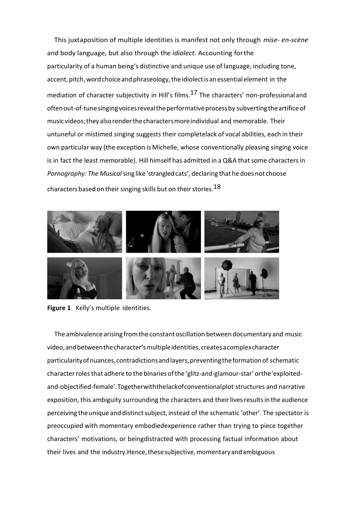This juxtaposition of multiple identities is manifest not only through *mise- en-scène*  and body language, but also through the *idiolect*. Accounting forthe particularity of a human being's distinctive and unique use of language, including tone, accent, pitch, word choice and phraseology, the idiolect is an essential element in the mediation of character subjectivity in Hill's films.<sup>17</sup> The characters' non-professionaland oftenout-of-tunesingingvoicesrevealtheperformativeprocessby subvertingtheartificeof music videos;theyalsorenderthecharactersmoreindividual and memorable. Their untuneful or mistimed singing suggests their completelack of vocal abilities, each in their own particular way (the exception is Michelle, whose conventionally pleasing singing voice is in fact the least memorable). Hill himself has admitted in a Q&A that some characters in *Pornography: The Musical*sing like 'strangledcats', declaring that hedoesnot choose characters based on their singing skills but on their stories.<sup>18</sup>



**Figure 1** Kelly's multiple identities.

The ambivalence arising from the constant oscillation between documentary and music video,andbetweenthecharacter'smultipleidentities,createsacomplexcharacter particularityofnuances,contradictionsandlayers,preventingtheformationof schematic characterrolesthat adhere to the binaries ofthe 'glitz-and-glamour-star' orthe'exploitedand-objectified-female'.Togetherwiththelackofconventionalplot structures and narrative exposition, this ambiguity surrounding the characters and their lives results in the audience perceiving the unique and distinct subject, instead of the schematic 'other'. The spectator is preoccupied with momentary embodiedexperience rather than trying to piece together characters' motivations, or beingdistracted with processing factual information about their lives and the industry.Hence, these subjective, momentary and ambiguous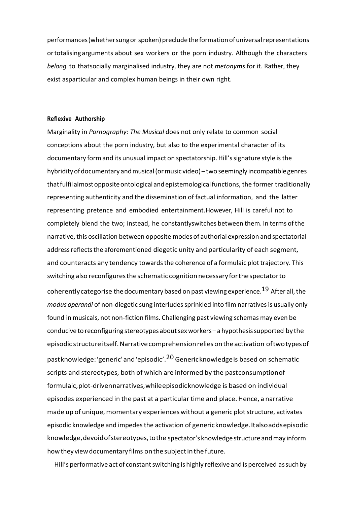performances (whether sung or spoken) preclude the formation of universal representations ortotalising arguments about sex workers or the porn industry. Although the characters *belong* to thatsocially marginalised industry, they are not *metonyms* for it. Rather, they exist asparticular and complex human beings in their own right.

### **Reflexive Authorship**

Marginality in *Pornography: The Musical* does not only relate to common social conceptions about the porn industry, but also to the experimental character of its documentary formand its unusual impact on spectatorship. Hill'ssignature style isthe hybridityofdocumentary andmusical(ormusic video) – two seemingly incompatiblegenres thatfulfilalmostoppositeontologicalandepistemologicalfunctions, the former traditionally representing authenticity and the dissemination of factual information, and the latter representing pretence and embodied entertainment.However, Hill is careful not to completely blend the two; instead, he constantlyswitches between them. In terms ofthe narrative, this oscillation between opposite modes of authorial expression and spectatorial address reflects the aforementioned diegetic unity and particularity of each segment, and counteracts any tendency towards the coherence of a formulaic plot trajectory. This switching also reconfigurestheschematic cognitionnecessaryforthespectatorto coherently categorise the documentary based on past viewing experience.<sup>19</sup> After all, the *modus operandi* of non-diegetic sung interludes sprinkled into film narratives is usually only found in musicals, not non-fiction films. Challenging past viewing schemas may even be conducive to reconfiguring stereotypes aboutsex workers – a hypothesissupported bythe episodic structure itself. Narrative comprehension relies on the activation of two types of pastknowledge:'generic'and'episodic'.20 Genericknowledgeis based on schematic scripts and stereotypes, both of which are informed by the pastconsumptionof formulaic,plot-drivennarratives,whileepisodicknowledge is based on individual episodes experienced in the past at a particular time and place. Hence, a narrative made up of unique, momentary experiences without a generic plot structure, activates episodic knowledge and impedesthe activation of genericknowledge.Italsoaddsepisodic knowledge,devoidofstereotypes,tothe spectator's knowledge structure andmay inform how they view documentary films on the subject in the future.

Hill's performative act of constantswitching is highly reflexive and is perceived assuchby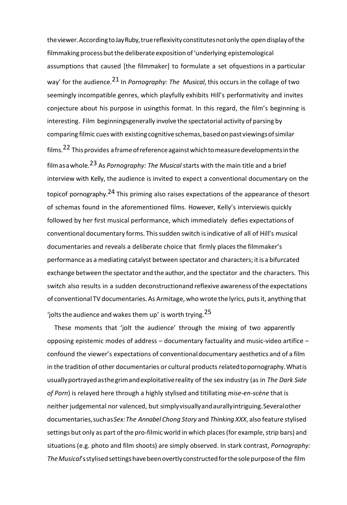theviewer.AccordingtoJayRuby,truereflexivityconstitutesnotonlythe open display ofthe filmmaking process but the deliberate exposition of 'underlying epistemological assumptions that caused [the filmmaker] to formulate a set ofquestions in a particular way' for the audience.21 In *Pornography: The Musical*, this occurs in the collage of two seemingly incompatible genres, which playfully exhibits Hill's performativity and invites conjecture about his purpose in usingthis format. In this regard, the film's beginning is interesting. Film beginningsgenerally involve the spectatorial activity of parsing by comparing filmic cues with existingcognitiveschemas,basedonpastviewingsofsimilar films.<sup>22</sup> This provides a frame of reference against which to measure developments in the filmasawhole.23 As *Pornography: The Musical* starts with the main title and a brief interview with Kelly, the audience is invited to expect a conventional documentary on the topicof pornography.<sup>24</sup> This priming also raises expectations of the appearance of thesort of schemas found in the aforementioned films. However, Kelly's interviewis quickly followed by her first musical performance, which immediately defies expectations of conventional documentary forms. Thissudden switch isindicative of all of Hill's musical documentaries and reveals a deliberate choice that firmly placesthe filmmaker's performance as a mediating catalyst between spectator and characters; itis a bifurcated exchange between the spectator and the author, and the spectator and the characters. This switch also results in a sudden deconstructionand reflexive awareness ofthe expectations of conventional TV documentaries. As Armitage, who wrote the lyrics, putsit, anything that 'iolts the audience and wakes them up' is worth trying.  $25$ 

These moments that 'jolt the audience' through the mixing of two apparently opposing epistemic modes of address – documentary factuality and music-video artifice – confound the viewer's expectations of conventionaldocumentary aesthetics and of a film in the tradition of other documentaries or cultural products relatedtopornography.Whatis usuallyportrayedasthegrimandexploitativereality of the sex industry (as in *The Dark Side of Porn*) is relayed here through a highly stylised and titillating *mise-en-scène* that is neither judgemental nor valenced, but simplyvisuallyandaurallyintriguing.Severalother documentaries,suchas*Sex:The Annabel Chong Story* and *Thinking XXX*, also feature stylised settings but only as part of the pro-filmic world in which places (for example, strip bars) and situations (e.g. photo and film shoots) are simply observed. In stark contrast, *Pornography:* The Musical's stylised settings have been overtly constructed for the sole purpose of the film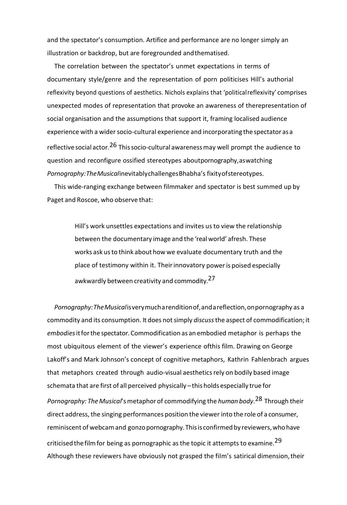and the spectator's consumption. Artifice and performance are no longer simply an illustration or backdrop, but are foregrounded andthematised.

The correlation between the spectator's unmet expectations in terms of documentary style/genre and the representation of porn politicises Hill's authorial reflexivity beyond questions of aesthetics. Nichols explains that 'politicalreflexivity' comprises unexpected modes of representation that provoke an awareness of therepresentation of social organisation and the assumptions that support it, framing localised audience experience with a wider socio-cultural experience and incorporating the spectator as a reflective social actor.<sup>26</sup> This socio-cultural awareness may well prompt the audience to question and reconfigure ossified stereotypes aboutpornography,aswatching *Pornography:TheMusical*inevitablychallengesBhabha's fixityofstereotypes.

This wide-ranging exchange between filmmaker and spectator is best summed up by Paget and Roscoe, who observe that:

> Hill's work unsettles expectations and invites usto view the relationship between the documentary image and the 'real world' afresh. These works ask usto think about how we evaluate documentary truth and the place of testimony within it. Theirinnovatory poweris poised especially awkwardly between creativity and commodity.<sup>27</sup>

*Pornography:TheMusical*isverymucharenditionof,andareflection,onpornography as a commodity and its consumption. It does notsimply *discuss*the aspect of commodification; it *embodies*itforthe spectator.Commodification as an embodied metaphor is perhaps the most ubiquitous element of the viewer's experience ofthis film. Drawing on George Lakoff's and Mark Johnson's concept of cognitive metaphors, Kathrin Fahlenbrach argues that metaphors created through audio-visual aestheticsrely on bodily based image schemata that are first of all perceived physically – thisholds especially true for *Pornography: TheMusical*'smetaphor of commodifying the *human body*. 28 Through their direct address, the singing performances position the viewerinto the role of a consumer, reminiscent of webcam and gonzo pornography. This is confirmed by reviewers, who have criticised the film for being as pornographic as the topic it attempts to examine.<sup>29</sup>

Although these reviewers have obviously not grasped the film's satirical dimension,their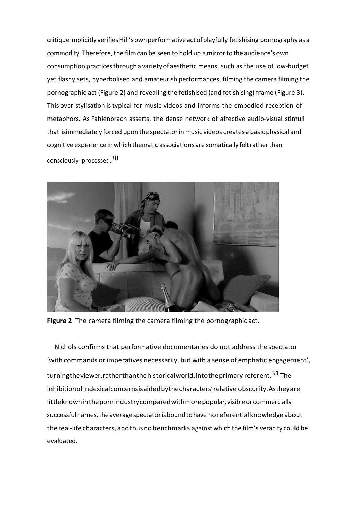critique implicitly verifies Hill's own performative act of playfully fetishising pornography as a commodity. Therefore, the film can be seen to hold up amirrorto the audience'sown consumption practicesthrough a variety of aesthetic means, such as the use of low-budget yet flashy sets, hyperbolised and amateurish performances, filming the camera filming the pornographic act (Figure 2) and revealing the fetishised (and fetishising) frame (Figure 3). This over-stylisation is typical for music videos and informs the embodied reception of metaphors. As Fahlenbrach asserts, the dense network of affective audio-visual stimuli that isimmediately forced upon the spectatorin music videos creates a basic physical and cognitive experience in which thematic associations are somatically felt rather than consciously processed.30



**Figure 2** The camera filming the camera filming the pornographic act.

Nichols confirms that performative documentaries do not address thespectator 'with commands orimperatives necessarily, but with a sense of emphatic engagement', turningtheviewer, rather than the historical world, into the primary referent.<sup>31</sup> The inhibitionofindexicalconcernsisaidedbythecharacters'relative obscurity.Astheyare little known in the pornindustry compared with more popular, visible or commercially successfulnames,theaveragespectatorisboundtohave noreferential knowledge about thereal-lifecharacters, andthus nobenchmarks against which the film's veracity could be evaluated.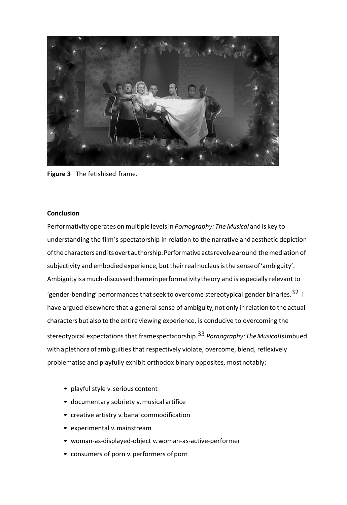

**Figure 3** The fetishised frame.

# **Conclusion**

Performativity operates on multiple levelsin *Pornography: The Musical* and is key to understanding the film's spectatorship in relation to the narrative andaesthetic depiction of the characters and its overt authorship. Performative acts revolve around the mediation of subjectivity and embodied experience, but their real nucleus is the sense of 'ambiguity'. Ambiguityisamuch-discussedthemeinperformativitytheory and is especially relevant to 'gender-bending' performances that seek to overcome stereotypical gender binaries.<sup>32</sup> I have argued elsewhere that a general sense of ambiguity, not only in relation to the actual characters but also to the entire viewing experience, is conducive to overcoming the stereotypical expectations that framespectatorship.33 *Pornography:TheMusical*isimbued with a plethora of ambiguities that respectively violate, overcome, blend, reflexively problematise and playfully exhibit orthodox binary opposites, mostnotably:

- playful style v. serious content
- documentary sobriety v. musical artifice
- creative artistry v. banal commodification
- experimental v.mainstream
- woman-as-displayed-object v. woman-as-active-performer
- consumers of porn v. performers of porn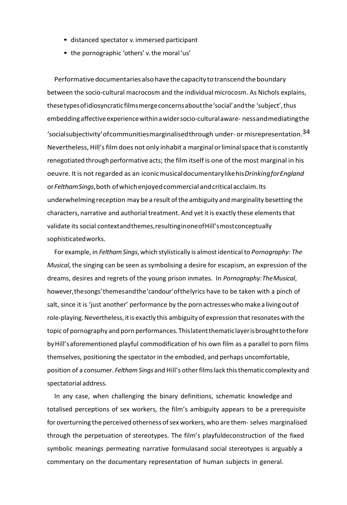- distanced spectator v. immersed participant
- the pornographic 'others' v. the moral 'us'

Performativedocumentariesalsohavethecapacitytotranscendtheboundary between the socio-cultural macrocosm and the individual microcosm. As Nichols explains, thesetypesofidiosyncraticfilmsmergeconcernsaboutthe'social'andthe 'subject',thus embeddingaffectiveexperiencewithinawidersocio-culturalaware- nessandmediatingthe 'socialsubjectivity' of communities marginalised through under- or misrepresentation.<sup>34</sup> Nevertheless, Hill's film does not only inhabit a marginal or liminal space that is constantly renegotiated through performative acts; the film itself is one of the most marginal in his oeuvre. Itis not regarded as an iconicmusicaldocumentarylikehis*DrinkingforEngland* or*FelthamSings*,both ofwhichenjoyedcommercialandcriticalacclaim.Its underwhelmingreception may be a result ofthe ambiguity and marginality besetting the characters, narrative and authorial treatment. And yet it is exactly these elements that validate its social contextandthemes, resulting in one of Hill's most conceptually sophisticatedworks.

For example, in *FelthamSings*, which stylistically is almost identical to *Pornography: The Musical*, the singing can be seen as symbolising a desire for escapism, an expression of the dreams, desires and regrets of the young prison inmates. In *Pornography:TheMusical*, however,thesongs'themesandthe'candour'ofthelyrics have to be taken with a pinch of salt, since it is 'just another' performance by the porn actresses who make a living out of role-playing. Nevertheless, it is exactly this ambiguity of expression that resonates with the topic of pornography and porn performances.Thislatentthematiclayerisbroughttothefore byHill'saforementioned playful commodification of his own film as a parallel to porn films themselves, positioning the spectator in the embodied, and perhaps uncomfortable, position of a consumer. *FelthamSings* and Hill's otherfilmslack thisthematic complexity and spectatorial address.

In any case, when challenging the binary definitions, schematic knowledge and totalised perceptions of sex workers, the film's ambiguity appears to be a prerequisite for overturning the perceived otherness of sex workers, who are them- selves marginalised through the perpetuation of stereotypes. The film's playfuldeconstruction of the fixed symbolic meanings permeating narrative formulasand social stereotypes is arguably a commentary on the documentary representation of human subjects in general.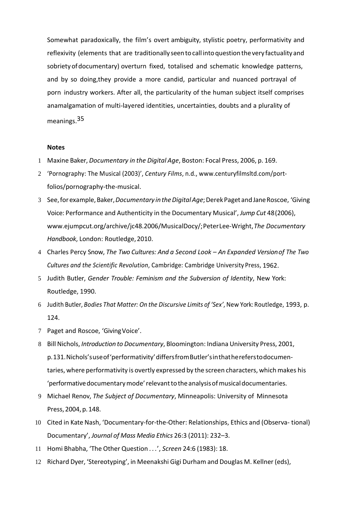Somewhat paradoxically, the film's overt ambiguity, stylistic poetry, performativity and reflexivity (elements that are traditionally seentocall intoquestionthevery factuality and sobrietyofdocumentary) overturn fixed, totalised and schematic knowledge patterns, and by so doing,they provide a more candid, particular and nuanced portrayal of porn industry workers. After all, the particularity of the human subject itself comprises anamalgamation of multi-layered identities, uncertainties, doubts and a plurality of meanings.35

#### **Notes**

- 1 Maxine Baker, *Documentary in the Digital Age*, Boston: Focal Press, 2006, p. 169.
- 2 'Pornography: The Musical (2003)', *Century Films*, n.d., [www.centuryfilmsltd.com/port](http://www.centuryfilmsltd.com/port-)folios/pornography-the-musical.
- 3 See,forexample,Baker,*Documentary intheDigitalAge*;DerekPaget andJaneRoscoe, 'Giving Voice: Performance and Authenticity in the Documentary Musical', *Jump Cut* 48(2006), [www.ejumpcut.org/archive/jc48.2006/MusicalDocy/;P](http://www.ejumpcut.org/archive/jc48.2006/MusicalDocy/%3B)eterLee-Wright,*The Documentary Handbook*, London: Routledge,2010.
- 4 Charles Percy Snow, *The Two Cultures: And a Second Look – An Expanded Versionof The Two Cultures and the Scientific Revolution*, Cambridge: Cambridge University Press, 1962.
- 5 Judith Butler, *Gender Trouble: Feminism and the Subversion of Identity*, New York: Routledge, 1990.
- 6 Judith Butler, *Bodies That Matter: On the Discursive Limits of 'Sex'*, New York: Routledge, 1993, p. 124.
- 7 Paget and Roscoe, 'GivingVoice'.
- 8 Bill Nichols, *Introduction to Documentary*, Bloomington: Indiana University Press, 2001, p.131.Nichols'suseof'performativity'differsfromButler'sinthathereferstodocumentaries, where performativity is overtly expressed by the screen characters, which makes his 'performativedocumentarymode'relevanttotheanalysisofmusicaldocumentaries.
- 9 Michael Renov, *The Subject of Documentary*, Minneapolis: University of Minnesota Press,2004,p.148.
- 10 Cited in Kate Nash, 'Documentary-for-the-Other: Relationships, Ethics and (Observa- tional) Documentary', *Journal of Mass Media Ethics* 26:3 (2011): 232–3.
- 11 Homi Bhabha, 'The Other Question *. . .*', *Screen* 24:6 (1983): 18.
- 12 Richard Dyer, 'Stereotyping', in Meenakshi Gigi Durham and Douglas M. Kellner (eds),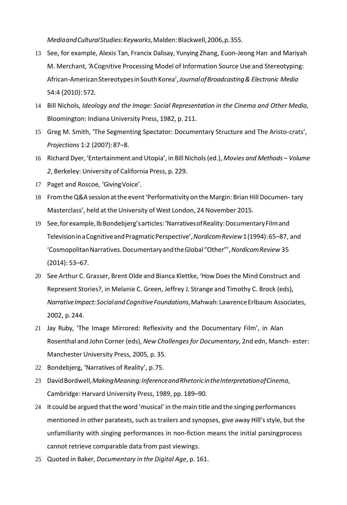*MediaandCulturalStudies:Keyworks*,Malden:Blackwell,2006,p.355.

- 13 See, for example, Alexis Tan, Francix Dalisay, Yunying Zhang, Euon-Jeong Han and Mariyah M. Merchant, 'ACognitive Processing Model of Information Source Use and Stereotyping: African-AmericanStereotypesinSouthKorea',*JournalofBroadcasting& Electronic Media*  54:4 (2010): 572.
- 14 Bill Nichols, *Ideology and the Image: Social Representation in the Cinema and Other Media*, Bloomington: Indiana University Press, 1982, p. 211.
- 15 Greg M. Smith, 'The Segmenting Spectator: Documentary Structure and The Aristo-crats', *Projections* 1:2 (2007):87–8.
- 16 Richard Dyer, 'Entertainment and Utopia', in Bill Nichols(ed.), *Movies and Methods – Volume 2*, Berkeley: University of California Press, p. 229.
- 17 Paget and Roscoe, 'GivingVoice'.
- 18 From the Q&A session at the event 'Performativity on the Margin: Brian Hill Documen-tary Masterclass', held at the University of West London, 24 November 2015.
- 19 See,forexample,IbBondebjerg'sarticles:'NarrativesofReality:DocumentaryFilmand TelevisioninaCognitiveandPragmaticPerspective',*NordicomReview*1(1994):65–87, and 'CosmopolitanNarratives.DocumentaryandtheGlobal"Other"',*NordicomReview* 35 (2014): 53–67.
- 20 See Arthur C. Grasser, Brent Olde and Bianca Klettke, 'How Doesthe Mind Construct and Represent Stories?, in Melanie C. Green, Jeffrey J. Strange and Timothy C. Brock (eds), *NarrativeImpact:SocialandCognitiveFoundations*,Mahwah:LawrenceErlbaum Associates, 2002, p. 244.
- 21 Jay Ruby, 'The Image Mirrored: Reflexivity and the Documentary Film', in Alan Rosenthal and John Corner (eds), *New Challengesfor Documentary*, 2nd edn, Manch- ester: Manchester University Press, 2005, p. 35.
- 22 Bondebjerg, 'Narratives of Reality', p.75.
- 23 DavidBordwell,*MakingMeaning:InferenceandRhetoricintheInterpretationofCinema*, Cambridge: Harvard University Press, 1989, pp. 189–90.
- 24 It could be argued that the word 'musical' in the main title and the singing performances mentioned in other paratexts, such as trailers and synopses, give away Hill's style, but the unfamiliarity with singing performances in non-fiction means the initial parsingprocess cannot retrieve comparable data from past viewings.
- 25 Quoted in Baker, *Documentary in the Digital Age*, p. 161.